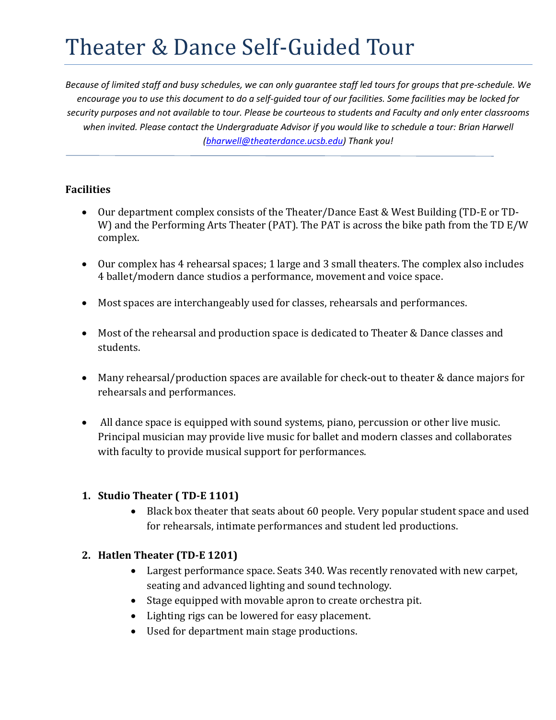# Theater & Dance Self-Guided Tour

*Because of limited staff and busy schedules, we can only guarantee staff led tours for groups that pre-schedule. We encourage you to use this document to do a self-guided tour of our facilities. Some facilities may be locked for security purposes and not available to tour. Please be courteous to students and Faculty and only enter classrooms when invited. Please contact the Undergraduate Advisor if you would like to schedule a tour: Brian Harwell (bharwell@theaterdance.ucsb.edu) Thank you!* 

## **Facilities**

- Our department complex consists of the Theater/Dance East & West Building (TD-E or TD-W) and the Performing Arts Theater (PAT). The PAT is across the bike path from the TD E/W complex.
- Our complex has 4 rehearsal spaces; 1 large and 3 small theaters. The complex also includes 4 ballet/modern dance studios a performance, movement and voice space.
- Most spaces are interchangeably used for classes, rehearsals and performances.
- Most of the rehearsal and production space is dedicated to Theater & Dance classes and students.
- Many rehearsal/production spaces are available for check-out to theater & dance majors for rehearsals and performances.
- All dance space is equipped with sound systems, piano, percussion or other live music. Principal musician may provide live music for ballet and modern classes and collaborates with faculty to provide musical support for performances.

# **1. Studio Theater ( TD-E 1101)**

 Black box theater that seats about 60 people. Very popular student space and used for rehearsals, intimate performances and student led productions.

# **2. Hatlen Theater (TD-E 1201)**

- Largest performance space. Seats 340. Was recently renovated with new carpet, seating and advanced lighting and sound technology.
- Stage equipped with movable apron to create orchestra pit.
- Lighting rigs can be lowered for easy placement.
- Used for department main stage productions.